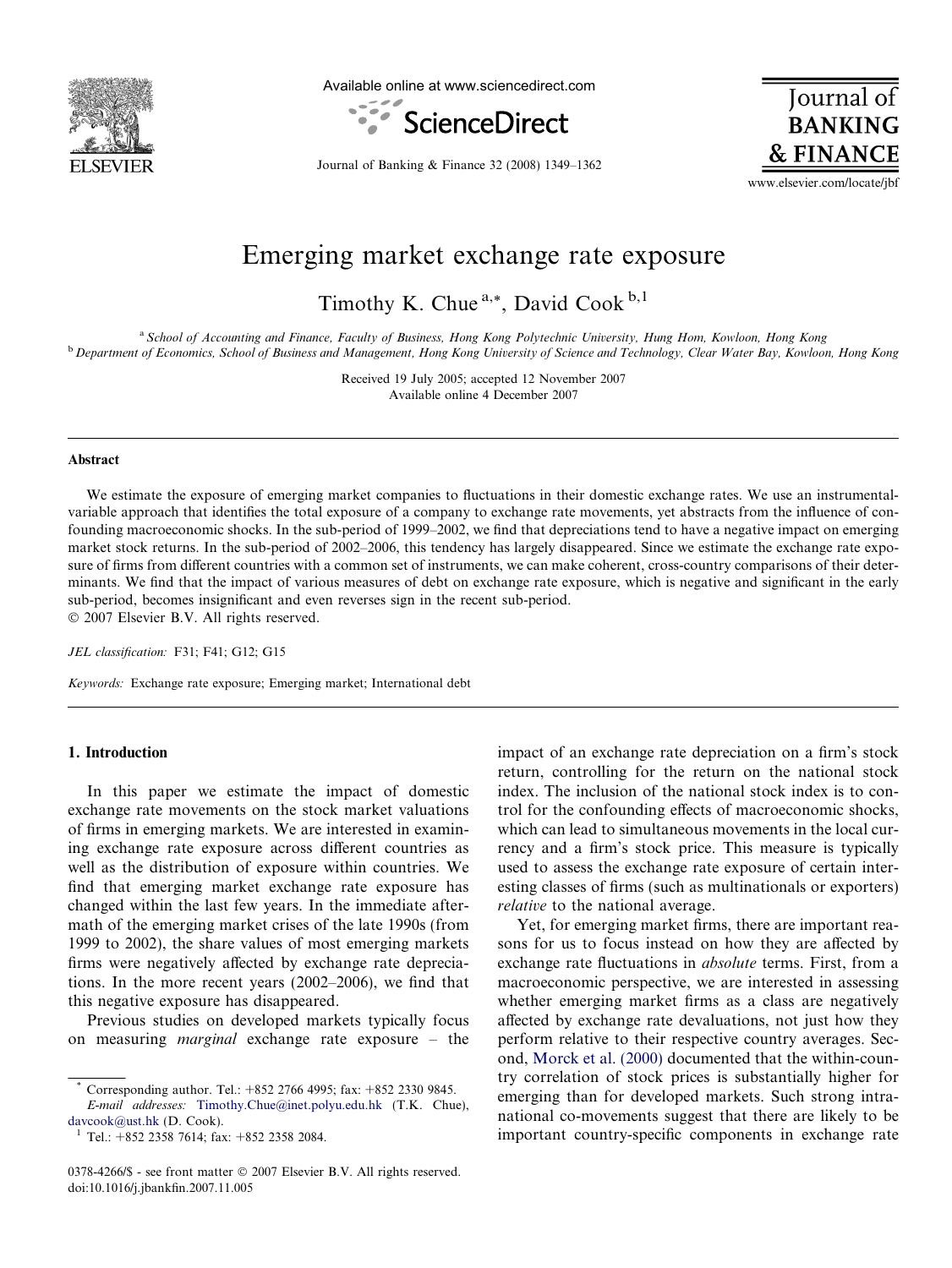

Available online at www.sciencedirect.com



Journal of **BANKING & FINANCE** 

Journal of Banking & Finance 32 (2008) 1349–1362

www.elsevier.com/locate/jbf

## Emerging market exchange rate exposure

Timothy K. Chue<sup>a,\*</sup>, David Cook<sup>b,1</sup>

a School of Accounting and Finance, Faculty of Business, Hong Kong Polytechnic University, Hung Hom, Kowloon, Hong Kong <sup>b</sup> Department of Economics, School of Business and Management, Hong Kong University of Science and Technology, Clear Water Bay, Kowloon, Hong Kong

> Received 19 July 2005; accepted 12 November 2007 Available online 4 December 2007

#### Abstract

We estimate the exposure of emerging market companies to fluctuations in their domestic exchange rates. We use an instrumentalvariable approach that identifies the total exposure of a company to exchange rate movements, yet abstracts from the influence of confounding macroeconomic shocks. In the sub-period of 1999–2002, we find that depreciations tend to have a negative impact on emerging market stock returns. In the sub-period of 2002–2006, this tendency has largely disappeared. Since we estimate the exchange rate exposure of firms from different countries with a common set of instruments, we can make coherent, cross-country comparisons of their determinants. We find that the impact of various measures of debt on exchange rate exposure, which is negative and significant in the early sub-period, becomes insignificant and even reverses sign in the recent sub-period.  $© 2007 Elsevier B.V. All rights reserved.$ 

JEL classification: F31; F41; G12; G15

Keywords: Exchange rate exposure; Emerging market; International debt

### 1. Introduction

In this paper we estimate the impact of domestic exchange rate movements on the stock market valuations of firms in emerging markets. We are interested in examining exchange rate exposure across different countries as well as the distribution of exposure within countries. We find that emerging market exchange rate exposure has changed within the last few years. In the immediate aftermath of the emerging market crises of the late 1990s (from 1999 to 2002), the share values of most emerging markets firms were negatively affected by exchange rate depreciations. In the more recent years (2002–2006), we find that this negative exposure has disappeared.

Previous studies on developed markets typically focus on measuring marginal exchange rate exposure – the

impact of an exchange rate depreciation on a firm's stock return, controlling for the return on the national stock index. The inclusion of the national stock index is to control for the confounding effects of macroeconomic shocks, which can lead to simultaneous movements in the local currency and a firm's stock price. This measure is typically used to assess the exchange rate exposure of certain interesting classes of firms (such as multinationals or exporters) relative to the national average.

Yet, for emerging market firms, there are important reasons for us to focus instead on how they are affected by exchange rate fluctuations in absolute terms. First, from a macroeconomic perspective, we are interested in assessing whether emerging market firms as a class are negatively affected by exchange rate devaluations, not just how they perform relative to their respective country averages. Second, [Morck et al. \(2000\)](#page--1-0) documented that the within-country correlation of stock prices is substantially higher for emerging than for developed markets. Such strong intranational co-movements suggest that there are likely to be important country-specific components in exchange rate

Corresponding author. Tel.: +852 2766 4995; fax: +852 2330 9845.

E-mail addresses: [Timothy.Chue@inet.polyu.edu.hk](mailto:Timothy.Chue@inet.polyu.edu.hk) (T.K. Chue), [davcook@ust.hk](mailto:davcook@ust.hk) (D. Cook). <sup>1</sup> Tel.: +852 2358 7614; fax: +852 2358 2084.

<sup>0378-4266/\$ -</sup> see front matter © 2007 Elsevier B.V. All rights reserved. doi:10.1016/j.jbankfin.2007.11.005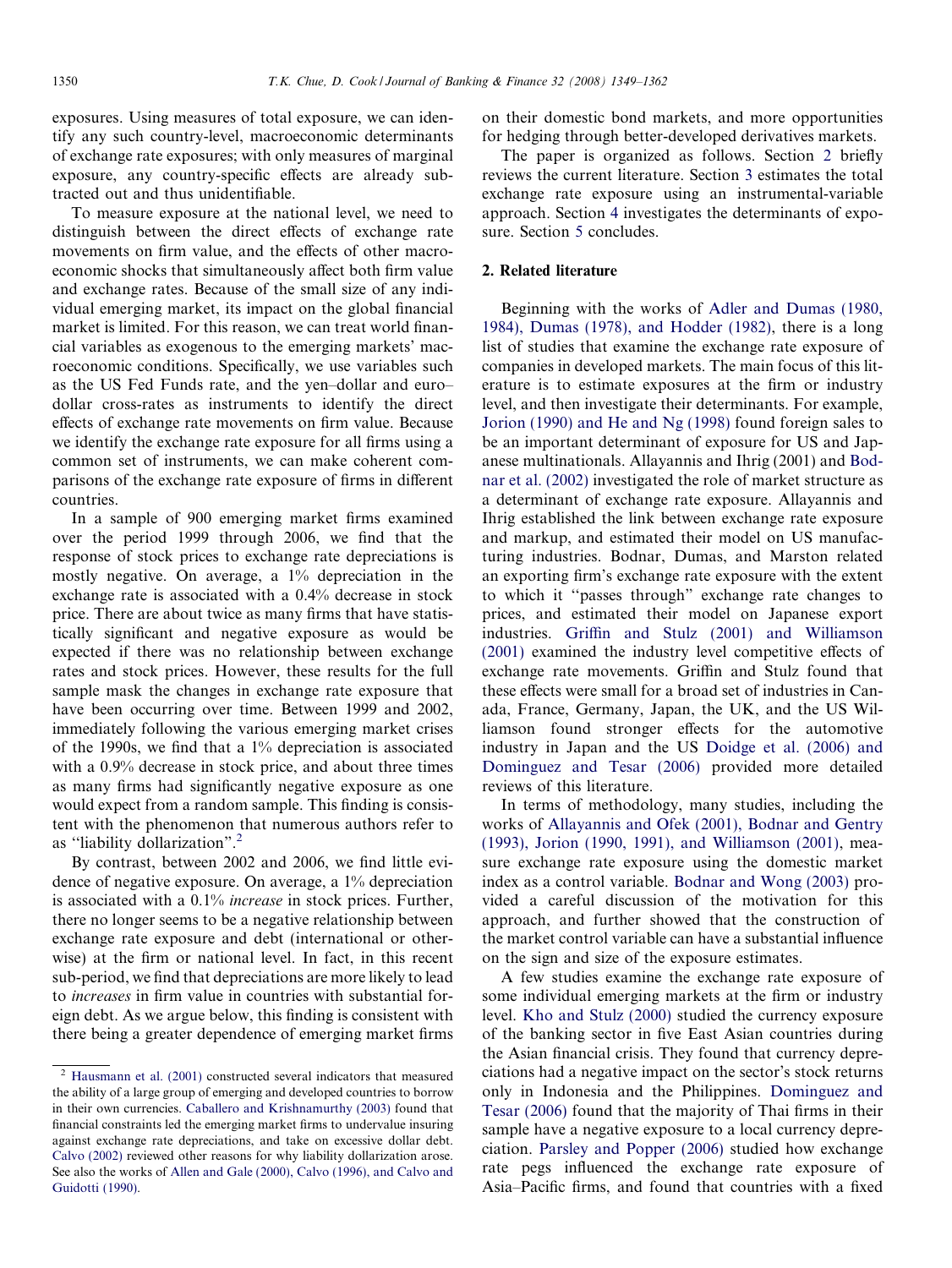exposures. Using measures of total exposure, we can identify any such country-level, macroeconomic determinants of exchange rate exposures; with only measures of marginal exposure, any country-specific effects are already subtracted out and thus unidentifiable.

To measure exposure at the national level, we need to distinguish between the direct effects of exchange rate movements on firm value, and the effects of other macroeconomic shocks that simultaneously affect both firm value and exchange rates. Because of the small size of any individual emerging market, its impact on the global financial market is limited. For this reason, we can treat world financial variables as exogenous to the emerging markets' macroeconomic conditions. Specifically, we use variables such as the US Fed Funds rate, and the yen–dollar and euro– dollar cross-rates as instruments to identify the direct effects of exchange rate movements on firm value. Because we identify the exchange rate exposure for all firms using a common set of instruments, we can make coherent comparisons of the exchange rate exposure of firms in different countries.

In a sample of 900 emerging market firms examined over the period 1999 through 2006, we find that the response of stock prices to exchange rate depreciations is mostly negative. On average, a 1% depreciation in the exchange rate is associated with a 0.4% decrease in stock price. There are about twice as many firms that have statistically significant and negative exposure as would be expected if there was no relationship between exchange rates and stock prices. However, these results for the full sample mask the changes in exchange rate exposure that have been occurring over time. Between 1999 and 2002, immediately following the various emerging market crises of the 1990s, we find that a 1% depreciation is associated with a 0.9% decrease in stock price, and about three times as many firms had significantly negative exposure as one would expect from a random sample. This finding is consistent with the phenomenon that numerous authors refer to as ''liability dollarization". 2

By contrast, between 2002 and 2006, we find little evidence of negative exposure. On average, a 1% depreciation is associated with a 0.1% increase in stock prices. Further, there no longer seems to be a negative relationship between exchange rate exposure and debt (international or otherwise) at the firm or national level. In fact, in this recent sub-period, we find that depreciations are more likely to lead to increases in firm value in countries with substantial foreign debt. As we argue below, this finding is consistent with there being a greater dependence of emerging market firms on their domestic bond markets, and more opportunities for hedging through better-developed derivatives markets.

The paper is organized as follows. Section 2 briefly reviews the current literature. Section [3](#page--1-0) estimates the total exchange rate exposure using an instrumental-variable approach. Section [4](#page--1-0) investigates the determinants of exposure. Section [5](#page--1-0) concludes.

#### 2. Related literature

Beginning with the works of [Adler and Dumas \(1980,](#page--1-0) [1984\), Dumas \(1978\), and Hodder \(1982\),](#page--1-0) there is a long list of studies that examine the exchange rate exposure of companies in developed markets. The main focus of this literature is to estimate exposures at the firm or industry level, and then investigate their determinants. For example, [Jorion \(1990\) and He and Ng \(1998\)](#page--1-0) found foreign sales to be an important determinant of exposure for US and Japanese multinationals. Allayannis and Ihrig (2001) and [Bod](#page--1-0)[nar et al. \(2002\)](#page--1-0) investigated the role of market structure as a determinant of exchange rate exposure. Allayannis and Ihrig established the link between exchange rate exposure and markup, and estimated their model on US manufacturing industries. Bodnar, Dumas, and Marston related an exporting firm's exchange rate exposure with the extent to which it ''passes through" exchange rate changes to prices, and estimated their model on Japanese export industries. [Griffin and Stulz \(2001\) and Williamson](#page--1-0) [\(2001\)](#page--1-0) examined the industry level competitive effects of exchange rate movements. Griffin and Stulz found that these effects were small for a broad set of industries in Canada, France, Germany, Japan, the UK, and the US Williamson found stronger effects for the automotive industry in Japan and the US [Doidge et al. \(2006\) and](#page--1-0) [Dominguez and Tesar \(2006\)](#page--1-0) provided more detailed reviews of this literature.

In terms of methodology, many studies, including the works of [Allayannis and Ofek \(2001\), Bodnar and Gentry](#page--1-0) [\(1993\), Jorion \(1990, 1991\), and Williamson \(2001\)](#page--1-0), measure exchange rate exposure using the domestic market index as a control variable. [Bodnar and Wong \(2003\)](#page--1-0) provided a careful discussion of the motivation for this approach, and further showed that the construction of the market control variable can have a substantial influence on the sign and size of the exposure estimates.

A few studies examine the exchange rate exposure of some individual emerging markets at the firm or industry level. [Kho and Stulz \(2000\)](#page--1-0) studied the currency exposure of the banking sector in five East Asian countries during the Asian financial crisis. They found that currency depreciations had a negative impact on the sector's stock returns only in Indonesia and the Philippines. [Dominguez and](#page--1-0) [Tesar \(2006\)](#page--1-0) found that the majority of Thai firms in their sample have a negative exposure to a local currency depreciation. [Parsley and Popper \(2006\)](#page--1-0) studied how exchange rate pegs influenced the exchange rate exposure of Asia–Pacific firms, and found that countries with a fixed

<sup>2</sup> [Hausmann et al. \(2001\)](#page--1-0) constructed several indicators that measured the ability of a large group of emerging and developed countries to borrow in their own currencies. [Caballero and Krishnamurthy \(2003\)](#page--1-0) found that financial constraints led the emerging market firms to undervalue insuring against exchange rate depreciations, and take on excessive dollar debt. [Calvo \(2002\)](#page--1-0) reviewed other reasons for why liability dollarization arose. See also the works of [Allen and Gale \(2000\), Calvo \(1996\), and Calvo and](#page--1-0) [Guidotti \(1990\).](#page--1-0)